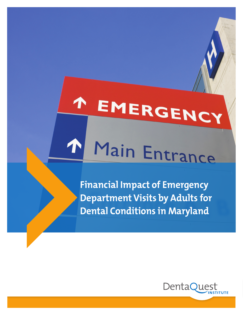# Main Entrance

 $\bigwedge$ 

EMERGENC

**Financial Impact of Emergency Department Visits by Adults for Dental Conditions in Maryland**

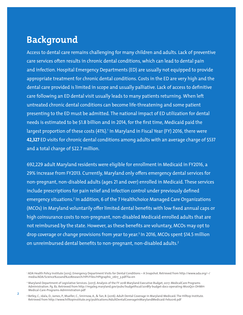#### **Background**

Access to dental care remains challenging for many children and adults. Lack of preventive care services often results in chronic dental conditions, which can lead to dental pain and infection. Hospital Emergency Departments (ED) are usually not equipped to provide appropriate treatment for chronic dental conditions. Costs in the ED are very high and the dental care provided is limited in scope and usually palliative. Lack of access to definitive care following an ED dental visit usually leads to many patients returning. When left untreated chronic dental conditions can become life-threatening and some patient presenting to the ED must be admitted. The national impact of ED utilization for dental needs is estimated to be \$1.8 billion and in 2014, for the first time, Medicaid paid the largest proportion of these costs (41%).<sup>1</sup> In Maryland in Fiscal Year (FY) 2016, there were **42,327** ED visits for chronic dental conditions among adults with an average charge of \$537 and a total charge of \$22.7 million.

692,229 adult Maryland residents were eligible for enrollment in Medicaid in FY2016, a 29% increase from FY2013. Currently, Maryland only offers emergency dental services for non-pregnant, non-disabled adults (ages 21 and over) enrolled in Medicaid. These services include prescriptions for pain relief and infection control under previously defined emergency situations.<sup>2</sup> In addition, 6 of the 7 Healthchoice Managed Care Organizations (MCOs) in Maryland voluntarily offer limited dental benefits with low fixed annual caps or high coinsurance costs to non-pregnant, non-disabled Medicaid enrolled adults that are not reimbursed by the state. However, as these benefits are voluntary, MCOs may opt to drop coverage or change provisions from year to year. 3 In 2016, MCOs spent \$14.5 million on unreimbursed dental benefits to non-pregnant, non-disabled adults.<sup>2</sup>

<sup>1</sup> ADA Health Policy Institute (2015). Emergency Department Visits for Dental Conditions – A Snapshot. Retrieved from http://www.ada.org/~/ media/ADA/Science%20and%20Research/HPI/Files/HPIgraphic\_0617\_3.pdf?la=en

<sup>2</sup> Maryland Department of Legislative Services. (2017). Analysis of the FY 2018 Maryland Executive Budget, 2017: MedicalCare Programs Administration. Pg. 82. Retrieved from http://mgaleg.maryland.gov/pubs/budgetfiscal/2018fy-budget-docs-operating-M00Q01-DHMH-Medical-Care-Programs-Administration.pdf

<sup>3</sup> Betley, C., Idala, D., James, P., Mueller, C., Smirnow, A., & Tan, B. (2016). Adult Dental Coverage in Maryland Medicaid. The Hilltop Institute. Retrieved from http://www.hilltopinstitute.org/publications/AdultDentalCoverageInMarylandMedicaid-Feb2016.pdf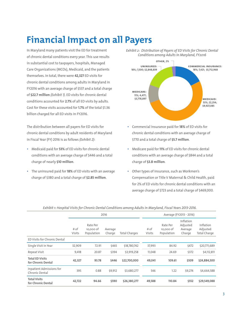## **Financial Impact on all Payers**

In Maryland many patients visit the ED for treatment of chronic dental conditions every year. This use results in substantial cost to taxpayers, hospitals, Managed Care Organizations (MCOs), Medicaid, and the patients themselves. In total, there were **42,327** ED visits for chronic dental conditions among adults in Maryland in FY2016 with an average charge of \$537 and a total charge of **\$22.7 million** *(Exhibit 1)*. ED visits for chronic dental conditions accounted for **2.7%** of all ED visits by adults. Cost for these visits accounted for **1.7%** of the total \$1.36 billion charged for all ED visits in FY2016.

The distribution between all payers for ED visits for chronic dental conditions by adult residents of Maryland in Fiscal Year (FY) 2016 is as follows *(Exhibit 2)*:

- Medicaid paid for **53%** of ED visits for chronic dental conditions with an average charge of \$446 and a total charge of nearly **\$10 million**.
- The uninsured paid for **18%** of ED visits with an average charge of \$380 and a total charge of **\$2.85 million**.



*Exhibit 2: Distribution of Payers of ED Visits for Chronic Dental* 

- Commercial insurance paid for **18%** of ED visits for chronic dental conditions with an average charge of \$770 and a total charge of **\$5.7 million**.
- Medicare paid for **11%** of ED visits for chronic dental conditions with an average charge of \$844 and a total charge of **\$3.8 million**.
- Other types of insurance, such as Workmen's Compensation or Title V Maternal & Child Health, paid for 2% of ED visits for chronic dental conditions with an average charge of \$723 and a total charge of \$469,000.

|                                              |                |                                     | 2016              |                      | Average (FY2013 - 2016) |                                     |                                            |                                              |  |  |
|----------------------------------------------|----------------|-------------------------------------|-------------------|----------------------|-------------------------|-------------------------------------|--------------------------------------------|----------------------------------------------|--|--|
|                                              | # of<br>Visits | Rate Per<br>10,000 of<br>Population | Average<br>Charge | <b>Total Charges</b> | # of<br>Visits          | Rate Per<br>10,000 of<br>Population | Inflation<br>Adjusted<br>Average<br>Charge | Inflation<br>Adjusted<br><b>Total Charge</b> |  |  |
| ED Visits for Chronic Dental                 |                |                                     |                   |                      |                         |                                     |                                            |                                              |  |  |
| Single Visit in Year                         | 32,909         | 72.91                               | \$465             | \$18,780,742         | 37,993                  | 84.92                               | \$472                                      | \$20,771,689                                 |  |  |
| Repeat Visit                                 | 9,418          | 20.87                               | \$394             | \$3,919,258          | 11,048                  | 24.69                               | \$372                                      | \$4,112,811                                  |  |  |
| <b>Total ED Visits</b><br>for Chronic Dental | 42,327         | 93.78                               | \$446             | \$22,700,000         | 49,041                  | 109.61                              | \$509                                      | \$24,884,500                                 |  |  |
| Inpatient Admissions for<br>Chronic Dental   | 395            | 0.88                                | \$9,912           | \$3,680,277          | 546                     | 1.22                                | \$9,274                                    | \$4,664,588                                  |  |  |
| <b>Total Visits</b><br>for Chronic Dental    | 42,722         | 94.66                               | \$590             | \$26,380,277         | 49,588                  | 110.84                              | \$552                                      | \$29,549,088                                 |  |  |

*Exhibit 1: Hospital Visits for Chronic Dental Conditions among Adults in Maryland, Fiscal Years 2013-2016.*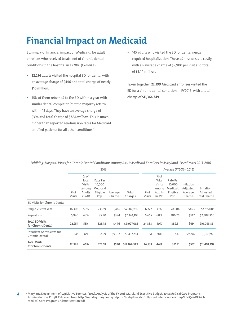### **Financial Impact on Medicaid**

Summary of financial impact on Medicaid, for adult enrollees who received treatment of chronic dental conditions in the hospital in FY2016 (*Exhibit 3*):

- **22,254** adults visited the hospital ED for dental with an average charge of \$446 and total charge of nearly **\$10 million**.
- **25**% of them returned to the ED within a year with similar dental complaint, but the majority return within 15 days. They have an average charge of \$394 and total charge of **\$2.34 million**. This is much higher than reported readmission rates for Medicaid enrolled patients for all other conditions.4
- 145 adults who visited the ED for dental needs required hospitalization. These admissions are costly, with an average charge of \$9,900 per visit and total of **\$1.44 million.**

Taken together, **22,399** Medicaid enrollees visited the ED for a chronic dental condition in FY2016, with a total charge of **\$11,364,349**.

|                                              | 2016           |                                                     |                                                    |                   |                  | Average (FY2013 - 2016) |                                                              |                                                    |                                            |                                       |  |  |
|----------------------------------------------|----------------|-----------------------------------------------------|----------------------------------------------------|-------------------|------------------|-------------------------|--------------------------------------------------------------|----------------------------------------------------|--------------------------------------------|---------------------------------------|--|--|
|                                              | # of<br>Visits | % of<br>Total<br>Visits<br>among<br>Adults<br>in MD | Rate Per<br>10,000<br>Medicaid<br>Eligible<br>Pop. | Average<br>Charge | Total<br>Charges | # of<br><b>Visits</b>   | $%$ of<br>Total<br><b>Visits</b><br>among<br>Adults<br>in MD | Rate Per<br>10.000<br>Medicaid<br>Eligible<br>Pop. | Inflation<br>Adjusted<br>Average<br>Charge | Inflation<br>Adjusted<br>Total Charge |  |  |
| ED Visits for Chronic Dental                 |                |                                                     |                                                    |                   |                  |                         |                                                              |                                                    |                                            |                                       |  |  |
| Single Visit in Year                         | 16,308         | 50%                                                 | 235.59                                             | \$465             | \$7,582,980      | 17,727                  | 47%                                                          | 283.04                                             | \$493                                      | \$7,785,005                           |  |  |
| Repeat Visit                                 | 5,946          | 63%                                                 | 85.90                                              | \$394             | \$2,344,105      | 6,655                   | 60%                                                          | 106.26                                             | \$347                                      | \$2,308,366                           |  |  |
| <b>Total ED Visits</b><br>for Chronic Dental | 22,254         | 53%                                                 | 321.48                                             | \$446             | \$9,927,085      | 24,383                  | 50%                                                          | 389.31                                             | \$414                                      | \$10,093,371                          |  |  |
| Inpatient Admissions for<br>Chronic Dental   | 145            | 37%                                                 | 2.09                                               | \$9,912           | \$1,437,264      | 151                     | 28%                                                          | 2.41                                               | \$9,274                                    | \$1,397,921                           |  |  |
| <b>Total Visits</b><br>for Chronic Dental    | 22,399         | 46%                                                 | 323.58                                             | \$590             | \$11,364,349     | 24,533                  | 44%                                                          | 391.71                                             | \$552                                      | \$11,491,292                          |  |  |

*Exhibit 3: Hospital Visits for Chronic Dental Conditions among Adult Medicaid Enrollees in Maryland, Fiscal Years 2013-2016.*

4 <sup>4</sup> Maryland Department of Legislative Services. (2017). Analysis of the FY 2018 Maryland Executive Budget, 2017: Medical Care Programs Administration. Pg. 48. Retrieved from http://mgaleg.maryland.gov/pubs/budgetfiscal/2018fy-budget-docs-operating-M00Q01-DHMH-Medical-Care-Programs-Administration.pdf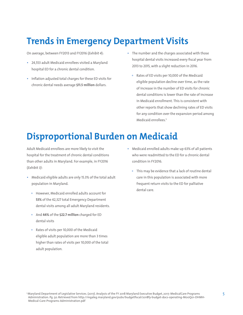### **Trends in Emergency Department Visits**

On average, between FY2013 and FY2016 (*Exhibit 4*):

- 24,553 adult Medicaid enrollees visited a Maryland hospital ED for a chronic dental condition.
- Inflation adjusted total charges for these ED visits for chronic dental needs average **\$11.5 million** dollars.
- The number and the charges associated with those hospital dental visits increased every fiscal year from 2013 to 2015, with a slight reduction in 2016.
	- Rates of ED visits per 10,000 of the Medicaid eligible population decline over time, as the rate of increase in the number of ED visits for chronic dental conditions is lower than the rate of increase in Medicaid enrollment. This is consistent with other reports that show declining rates of ED visits for any condition over the expansion period among Medicaid enrollees.<sup>5</sup>

#### **Disproportional Burden on Medicaid**

Adult Medicaid enrollees are more likely to visit the hospital for the treatment of chronic dental conditions than other adults in Maryland. For example, in FY2016 (*Exhibit 3)*:

- Medicaid eligible adults are only 15.3% of the total adult population in Maryland.
	- However, Medicaid enrolled adults account for **53%** of the 42,327 total Emergency Department dental visits among all adult Maryland residents.
	- And **44%** of the **\$22.7 million** charged for ED dental visits
	- Rates of visits per 10,000 of the Medicaid eligible adult population are more than 3 times higher than rates of visits per 10,000 of the total adult population.
- Medicaid enrolled adults make up 63% of all patients who were readmitted to the ED for a chronic dental condition in FY2016.
	- This may be evidence that a lack of routine dental care in this population is associated with more frequent return visits to the ED for palliative dental care.

<sup>5</sup> 5 Maryland Department of Legislative Services. (2017). Analysis of the FY 2018 Maryland Executive Budget, 2017: MedicalCare Programs Administration. Pg. 50. Retrieved from http://mgaleg.maryland.gov/pubs/budgetfiscal/2018fy-budget-docs-operating-M00Q01-DHMH-Medical-Care-Programs-Administration.pdf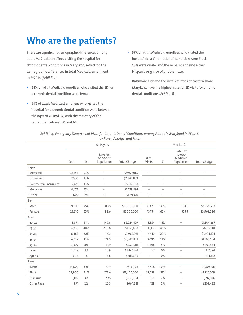#### **Who are the patients?**

There are significant demographic differences among adult Medicaid enrollees visiting the hospital for chronic dental conditions in Maryland, reflecting the demographic differences in total Medicaid enrollment. In FY2016 (*Exhibit 4*):

- **62%** of adult Medicaid enrollees who visited the ED for a chronic dental condition were female.
- **61%** of adult Medicaid enrollees who visited the hospital for a chronic dental condition were between the ages of **20 and 34**, with the majority of the remainder between 35 and 64.
- **57%** of adult Medicaid enrollees who visited the hospital for a chronic dental condition were Black, **38%** were white, and the remainder being either Hispanic origin or of another race.
- Baltimore City and the rural counties of eastern shore Maryland have the highest rates of ED visits for chronic dental conditions *(Exhibit 5)*.

| Exhibit 4: Emergency Department Visits for Chronic Dental Conditions among Adults in Maryland in FY2016, |
|----------------------------------------------------------------------------------------------------------|
| by Payer, Sex,Age, and Race.                                                                             |

|                      |        | All Payers |                                      | Medicaid            |                          |                                      |                                              |                          |
|----------------------|--------|------------|--------------------------------------|---------------------|--------------------------|--------------------------------------|----------------------------------------------|--------------------------|
|                      | Count  | $\%$       | Rate Per<br>10,000 of<br>Population  | <b>Total Charge</b> | # of<br>Visits           | $\%$                                 | Rate Per<br>10,000<br>Medicaid<br>Population | <b>Total Charge</b>      |
| Payer                |        |            |                                      |                     |                          |                                      |                                              |                          |
| Medicaid             | 22,254 | 53%        | $- -$                                | \$9,927,085         | $\overline{\phantom{a}}$ | $\overline{\phantom{a}}$             | $\overline{\phantom{a}}$                     | $\overline{\phantom{m}}$ |
| Uninsured            | 7,500  | 18%        | $\overline{\phantom{m}}$             | \$2,848,839         | $\overline{\phantom{m}}$ | $\hspace{0.05cm}  \hspace{0.05cm} -$ | $\overline{\phantom{m}}$                     | $\overline{\phantom{a}}$ |
| Commercial Insurance | 7,421  | 18%        | $\hspace{0.05cm}  \hspace{0.05cm} -$ | \$5,712,968         | $\overline{\phantom{m}}$ | $\hspace{0.05cm}  \hspace{0.05cm} -$ | $\overline{\phantom{a}}$                     | $-$                      |
| Medicare             | 4,477  | 11%        | $\overline{\phantom{m}}$             | \$3,778,897         | $\overline{\phantom{m}}$ | $\overline{\phantom{m}}$             | $\overline{\phantom{a}}$                     | $-\,-$                   |
| Other                | 649    | 2%         | $\overline{\phantom{m}}$             | \$469,370           | $-\,-$                   | $\overline{\phantom{m}}$             | $\overline{\phantom{a}}$                     | $\overline{\phantom{a}}$ |
| Sex                  |        |            |                                      |                     |                          |                                      |                                              |                          |
| Male                 | 19,010 | 45%        | 88.5                                 | \$10,300,000        | 8,479                    | 38%                                  | 314.3                                        | \$3,956,507              |
| Female               | 23,316 | 55%        | 98.6                                 | \$12,500,000        | 13,774                   | 62%                                  | 325.9                                        | \$5,969,286              |
| Age                  |        |            |                                      |                     |                          |                                      |                                              |                          |
| $20 - 24$            | 5,871  | 14%        | 149.6                                | \$2,924,479         | 3,384                    | 15%                                  | ă.                                           | \$1,504,267              |
| $25 - 34$            | 16,738 | 40%        | 200.6                                | \$7,153,468         | 10,131                   | 46%                                  | $\overline{\phantom{a}}$                     | \$4,113,081              |
| $35 - 44$            | 8,383  | 20%        | 110.1                                | \$3,962,021         | 4,410                    | 20%                                  | $\overline{\phantom{a}}$                     | \$1,904,124              |
| 45-54                | 6,322  | 15%        | 74.0                                 | \$3,842,878         | 3,096                    | 14%                                  | $-\,-$                                       | \$1,565,664              |
| 55-64                | 3,329  | 8%         | 41.9                                 | \$2,730,111         | 1,198                    | 5%                                   | $\overline{\phantom{a}}$                     | \$803,584                |
| 65-74                | 1,078  | 3%         | 20.9                                 | \$1,446,761         | 27                       | 0%                                   | $-\,-$                                       | \$22,184                 |
| Age 75+              | 606    | 1%         | 16.8                                 | \$685,646           | $\qquad \qquad -$        | 0%                                   | $-\,-$                                       | \$14,182                 |
| Race                 |        |            |                                      |                     |                          |                                      |                                              |                          |
| White                | 16,629 | 39%        | 67.9                                 | \$9,773,317         | 8,554                    | 38%                                  | $\sim$                                       | \$3,479,196              |
| Black                | 22,966 | 54%        | 174.6                                | \$11,400,000        | 12,638                   | 57%                                  | $\overline{\phantom{m}}$                     | \$5,920,709              |
| Hispanic             | 1,102  | 3%         | 29.5                                 | \$630,064           | 358                      | 2%                                   | $\overline{\phantom{m}}$                     | \$212,706                |
| Other Race           | 991    | 2%         | 26.3                                 | \$664,321           | 428                      | 2%                                   | $-\,-$                                       | \$209,482                |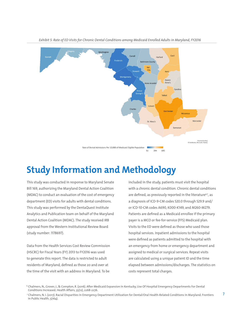

*Exhibit 5: Rate of ED Visits for Chronic Dental Conditions among Medicaid Enrolled Adults in Maryland, FY2016*

#### **Study Information and Methodology**

This study was conducted in response to Maryland Senate Bill 169, authorizing the Maryland Dental Action Coalition (MDAC) to conduct an evaluation of the cost of emergency department (ED) visits for adults with dental conditions. This study was performed by the DentaQuest Institute Analytics and Publication team on behalf of the Maryland Dental Action Coalition (MDAC). The study received IRB approval from the Western Institutional Review Board (study number: 1178697).

Data from the Health Services Cost Review Commission (HSCRC) for Fiscal Years (FY) 2013 to FY2016 was used to generate this report. The data is restricted to adult residents of Maryland, defined as those 20 and over at the time of the visit with an address in Maryland. To be

included in the study, patients must visit the hospital with a chronic dental condition. Chronic dental conditions are defined, as previously reported in the literature<sup>6,7</sup>, as a diagnosis of ICD-9-CM codes 520.0 through 529.9 and/ or ICD-10-CM codes A690, K000-K149, and M260-M279. Patients are defined as a Medicaid enrollee if the primary payer is a MCO or fee-for-service (FFS) Medicaid plan. Visits to the ED were defined as those who used those hospital services. Inpatient admissions to the hospital were defined as patients admitted to the hospital with an emergency from home or emergency department and assigned to medical or surgical services. Repeat visits are calculated using a unique patient ID and the time elapsed between admissions/discharges. The statistics on costs represent total charges.

<sup>6</sup> Chalmers, N., Grover, J., & Compton, R. (2016). After Medicaid Expansion In Kentucky, Use Of Hospital Emergency Departments For Dental Conditions Increased. Health Affairs, 35(12), 2268-2276.

 <sup>7</sup> Chalmers, N. I. (2017). Racial Disparities in Emergency Department Utilization for Dental/Oral Health-Related Conditions in Maryland. Frontiers in Public Health, 5(164).